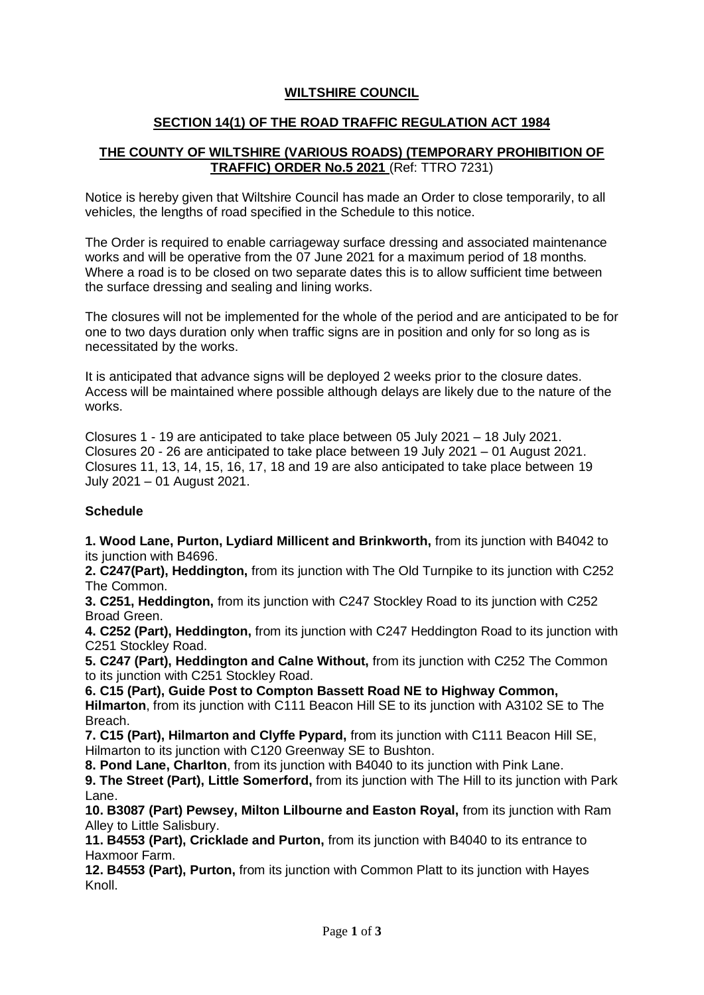## **WILTSHIRE COUNCIL**

## **SECTION 14(1) OF THE ROAD TRAFFIC REGULATION ACT 1984**

## **THE COUNTY OF WILTSHIRE (VARIOUS ROADS) (TEMPORARY PROHIBITION OF TRAFFIC) ORDER No.5 2021** (Ref: TTRO 7231)

Notice is hereby given that Wiltshire Council has made an Order to close temporarily, to all vehicles, the lengths of road specified in the Schedule to this notice.

The Order is required to enable carriageway surface dressing and associated maintenance works and will be operative from the 07 June 2021 for a maximum period of 18 months. Where a road is to be closed on two separate dates this is to allow sufficient time between the surface dressing and sealing and lining works.

The closures will not be implemented for the whole of the period and are anticipated to be for one to two days duration only when traffic signs are in position and only for so long as is necessitated by the works.

It is anticipated that advance signs will be deployed 2 weeks prior to the closure dates. Access will be maintained where possible although delays are likely due to the nature of the works.

Closures 1 - 19 are anticipated to take place between 05 July 2021 – 18 July 2021. Closures 20 - 26 are anticipated to take place between 19 July 2021 – 01 August 2021. Closures 11, 13, 14, 15, 16, 17, 18 and 19 are also anticipated to take place between 19 July 2021 – 01 August 2021.

### **Schedule**

**1. Wood Lane, Purton, Lydiard Millicent and Brinkworth,** from its junction with B4042 to its junction with B4696.

**2. C247(Part), Heddington,** from its junction with The Old Turnpike to its junction with C252 The Common.

**3. C251, Heddington,** from its junction with C247 Stockley Road to its junction with C252 Broad Green.

**4. C252 (Part), Heddington,** from its junction with C247 Heddington Road to its junction with C251 Stockley Road.

**5. C247 (Part), Heddington and Calne Without,** from its junction with C252 The Common to its junction with C251 Stockley Road.

**6. C15 (Part), Guide Post to Compton Bassett Road NE to Highway Common, Hilmarton**, from its junction with C111 Beacon Hill SE to its junction with A3102 SE to The Breach.

**7. C15 (Part), Hilmarton and Clyffe Pypard,** from its junction with C111 Beacon Hill SE, Hilmarton to its junction with C120 Greenway SE to Bushton.

**8. Pond Lane, Charlton**, from its junction with B4040 to its junction with Pink Lane.

**9. The Street (Part), Little Somerford,** from its junction with The Hill to its junction with Park Lane.

**10. B3087 (Part) Pewsey, Milton Lilbourne and Easton Royal,** from its junction with Ram Alley to Little Salisbury.

**11. B4553 (Part), Cricklade and Purton,** from its junction with B4040 to its entrance to Haxmoor Farm.

**12. B4553 (Part), Purton,** from its junction with Common Platt to its junction with Hayes Knoll.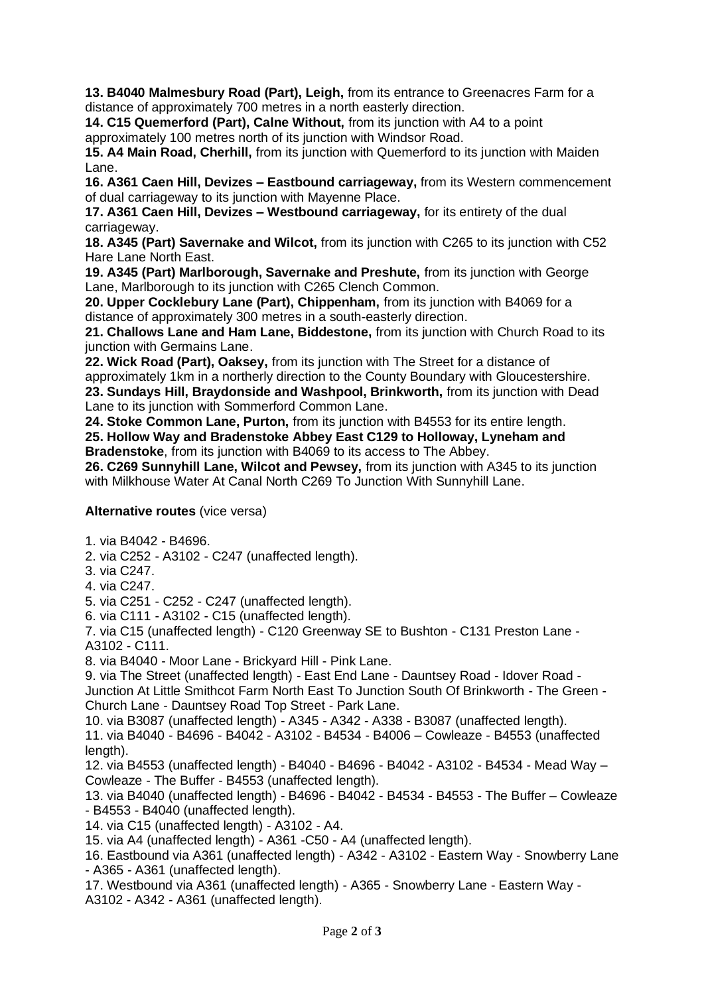**13. B4040 Malmesbury Road (Part), Leigh,** from its entrance to Greenacres Farm for a distance of approximately 700 metres in a north easterly direction.

**14. C15 Quemerford (Part), Calne Without,** from its junction with A4 to a point approximately 100 metres north of its junction with Windsor Road.

**15. A4 Main Road, Cherhill,** from its junction with Quemerford to its junction with Maiden Lane.

**16. A361 Caen Hill, Devizes – Eastbound carriageway,** from its Western commencement of dual carriageway to its junction with Mayenne Place.

**17. A361 Caen Hill, Devizes – Westbound carriageway,** for its entirety of the dual carriageway.

**18. A345 (Part) Savernake and Wilcot,** from its junction with C265 to its junction with C52 Hare Lane North East.

**19. A345 (Part) Marlborough, Savernake and Preshute,** from its junction with George Lane, Marlborough to its junction with C265 Clench Common.

**20. Upper Cocklebury Lane (Part), Chippenham,** from its junction with B4069 for a distance of approximately 300 metres in a south-easterly direction.

**21. Challows Lane and Ham Lane, Biddestone,** from its junction with Church Road to its junction with Germains Lane.

**22. Wick Road (Part), Oaksey,** from its junction with The Street for a distance of approximately 1km in a northerly direction to the County Boundary with Gloucestershire. **23. Sundays Hill, Braydonside and Washpool, Brinkworth,** from its junction with Dead Lane to its junction with Sommerford Common Lane.

**24. Stoke Common Lane, Purton,** from its junction with B4553 for its entire length.

**25. Hollow Way and Bradenstoke Abbey East C129 to Holloway, Lyneham and Bradenstoke**, from its junction with B4069 to its access to The Abbey.

**26. C269 Sunnyhill Lane, Wilcot and Pewsey,** from its junction with A345 to its junction with Milkhouse Water At Canal North C269 To Junction With Sunnyhill Lane.

# **Alternative routes** (vice versa)

1. via B4042 - B4696.

2. via C252 - A3102 - C247 (unaffected length).

3. via C247.

4. via C247.

5. via C251 - C252 - C247 (unaffected length).

6. via C111 - A3102 - C15 (unaffected length).

7. via C15 (unaffected length) - C120 Greenway SE to Bushton - C131 Preston Lane - A3102 - C111.

8. via B4040 - Moor Lane - Brickyard Hill - Pink Lane.

9. via The Street (unaffected length) - East End Lane - Dauntsey Road - Idover Road -

Junction At Little Smithcot Farm North East To Junction South Of Brinkworth - The Green - Church Lane - Dauntsey Road Top Street - Park Lane.

10. via B3087 (unaffected length) - A345 - A342 - A338 - B3087 (unaffected length).

11. via B4040 - B4696 - B4042 - A3102 - B4534 - B4006 – Cowleaze - B4553 (unaffected length).

12. via B4553 (unaffected length) - B4040 - B4696 - B4042 - A3102 - B4534 - Mead Way – Cowleaze - The Buffer - B4553 (unaffected length).

13. via B4040 (unaffected length) - B4696 - B4042 - B4534 - B4553 - The Buffer – Cowleaze - B4553 - B4040 (unaffected length).

14. via C15 (unaffected length) - A3102 - A4.

15. via A4 (unaffected length) - A361 -C50 - A4 (unaffected length).

16. Eastbound via A361 (unaffected length) - A342 - A3102 - Eastern Way - Snowberry Lane - A365 - A361 (unaffected length).

17. Westbound via A361 (unaffected length) - A365 - Snowberry Lane - Eastern Way - A3102 - A342 - A361 (unaffected length).